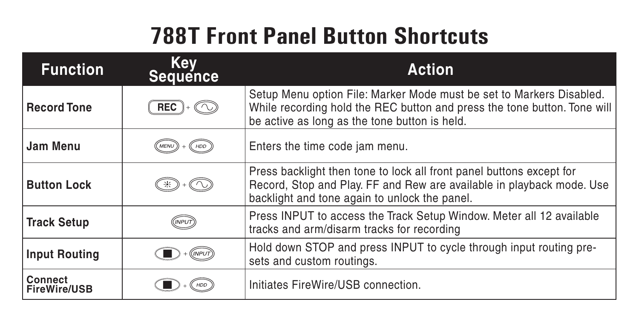## **788T Front Panel Button Shortcuts**

| <b>Function</b>                | Key<br>Sequence | <b>Action</b>                                                                                                                                                                                     |
|--------------------------------|-----------------|---------------------------------------------------------------------------------------------------------------------------------------------------------------------------------------------------|
| <b>Record Tone</b>             | <b>REC</b>      | Setup Menu option File: Marker Mode must be set to Markers Disabled.<br>While recording hold the REC button and press the tone button. Tone will<br>be active as long as the tone button is held. |
| Jam Menu                       |                 | Enters the time code jam menu.                                                                                                                                                                    |
| <b>Button Lock</b>             |                 | Press backlight then tone to lock all front panel buttons except for<br>Record, Stop and Play. FF and Rew are available in playback mode. Use<br>backlight and tone again to unlock the panel.    |
| <b>Track Setup</b>             | (INPUT)         | Press INPUT to access the Track Setup Window. Meter all 12 available<br>tracks and arm/disarm tracks for recording                                                                                |
| <b>Input Routing</b>           |                 | Hold down STOP and press INPUT to cycle through input routing pre-<br>sets and custom routings.                                                                                                   |
| Connect<br><b>FireWire/USB</b> |                 | Initiates FireWire/USB connection.                                                                                                                                                                |